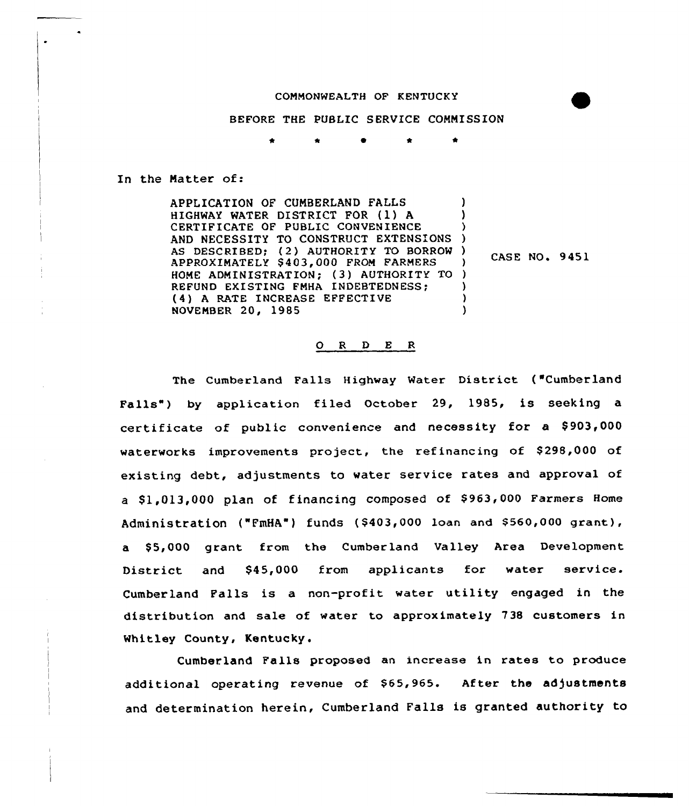# COMMONWEALTH OF KENTUCKY

#### BEFORE THE PUBLIC SERVICE COMMISSION

\* \*

In the Matter of:

APPLICATION OF CUMBERLAND FALLS HIGHWAY WATER DISTRICT FOR (1) <sup>A</sup> CERTIFICATE QF PUBLIC CONVENIENCE AND NECESSITY TO CONSTRUCT EXTENSIONS AS DESCRIBED; (2) AUTHORITY TO BORROW) APPROXIMATELY \$ 403,000 FROM FARMERS HOME ADMINISTRATION; (3) AUTHORITY TO ) REFUND EXISTING FMHA INDEBTEDNESS; (4) <sup>A</sup> RATE INCREASE EFFECTIVE NOVFMBER 20, 1985 ) ) ) )  $\frac{7}{1}$  CASE NO. 9451 ) ) )

# ORDER

The Cumberland Falls Highway Water District ("Cumberland Falls") by application filed October 29, 1985, is seeking a certificate of public convenience and necessity for a \$903,000 waterworks improvements project, the refinancing of \$298,000 of existing debt, adjustments to water service rates and approval of a \$1,013,000 plan of financing composed of \$963,000 Farmers Home Administration ("FmHA") funds (\$403,000 loan and \$560,000 grant), a \$5,000 grant from the Cumberland Valley Area Development District and \$45,000 from applicants for water service. Cumberland Falls is a non-profit water utility engaged in the distribution and sale of water to approximately 738 customers in Whitley County, Kentucky.

Cumberland Falls proposed an increase in rates to produce additional operating revenue of \$65,965. After the adjustments and determination herein, Cumberland Falls is granted authority to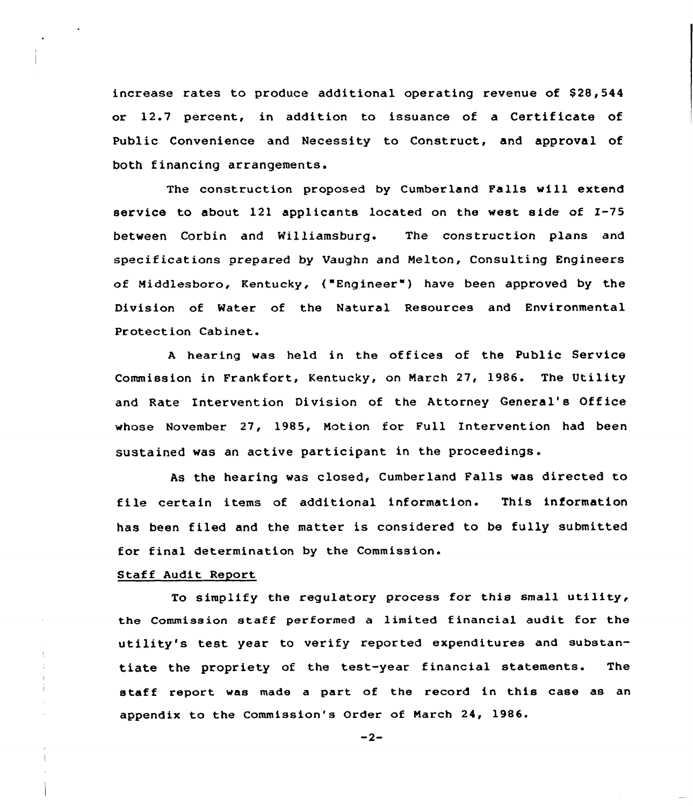increase rates to produce additional operating revenue of \$28,544 or 12.7 percent, in addition to issuance of a Certificate of Public Convenience and Necessity to Construct, and approval of both financing arrangements.

The construction proposed by Cumberland Falls will extend service to about 121 applicants located on the west side of I-75 between Corbin and Williamsburg. The construction plans and specifications prepared by Vaughn and Nelton, Consulting Engineers of Middlesboro, Kentucky, ("Engineer" ) have been approved by the Division of Water of the Natural Resources and Environmental Protection Cabinet.

<sup>A</sup> hearing was held in the offices of the Public Service Commission in Frankfort, Kentucky, on Narch 27, 1986. The Utility and Rate Intervention Division of the Attorney General's Office whose November 27, 1985, Notion, for Full Intervention had been sustained was an active participant in the proceedings.

As the hearing was closed, Cumberland Falls was directed to file certain items of additional information. This information has been filed and the matter is considered to be fully submitted for final determination by the Commission.

# Staff Audit Report

To simplify the regulatory process for this small utility, the Commission staff performed a limited financial audit for the utility's test year to verify reported expenditures and substantiate the propriety of the test-year financial statements. The staff report was made a part of the record in this case as an appendix to the Commission's Order of Narch 24, 1986.

 $-2-$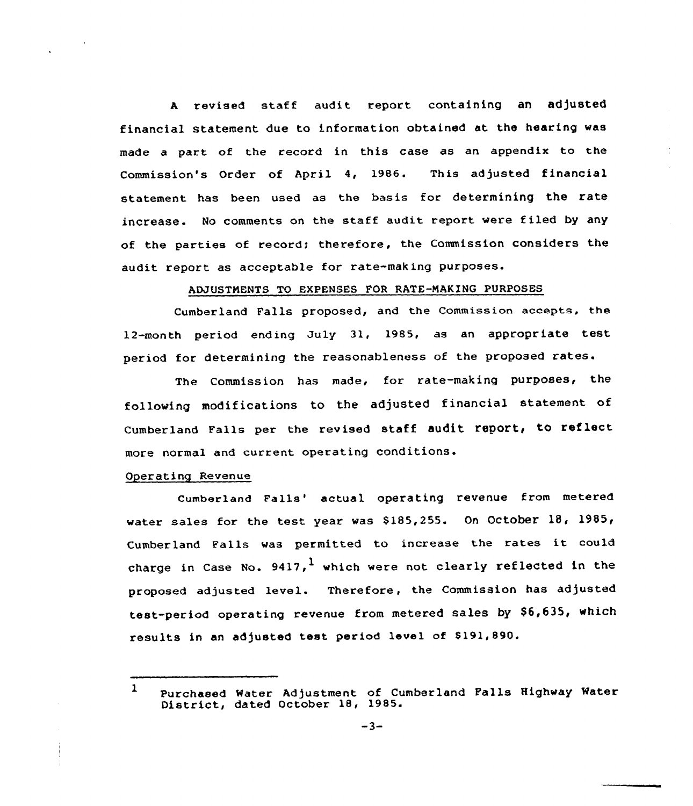<sup>A</sup> revised staff audit report containing an adjusted financial statement due to information obtained at the hearing was made a part of the record in this case as an appendix to the 's Order of April 4, 1986. This adjusted financial statement has been used as the basis for determining the rate increase. No comments on the staff audit report were filed by any of the parties of record; therefore, the Commission considers the audit report as acceptable for rate-making purposes.

# ADJUSTMENTS TO EXPENSES FOR RATE-MAKING PURPOSES

Cumberland Falls proposed, and the Commission accepts, the 12-month period ending July 31, 1985, as an appropriate test period for determining the reasonableness of the proposed rates.

The Commission has made, for rate-making purposes, the following modifications to the adjusted financial statement of Cumberland Falls per the revised staff audit report, to reflect more normal and current operating

#### Operating Revenue

Cumberland Falls' actual operating revenue from metered water sales for the test year was  $$185,255$ . On October 18, 1985, Cumberland Falls was permitted to increase the rates it could charge in Case No.  $9417$ , which were not clearly reflected in the proposed adjusted level. Therefore, the Commission has adjusted test-period operating revenue from metered sales by \$6,635, which results in an adjusted test period level of \$191,890.

<sup>1</sup> Purchased Water Adjustment of Cumberland Falls Highway Water District, dated October 18, 1985.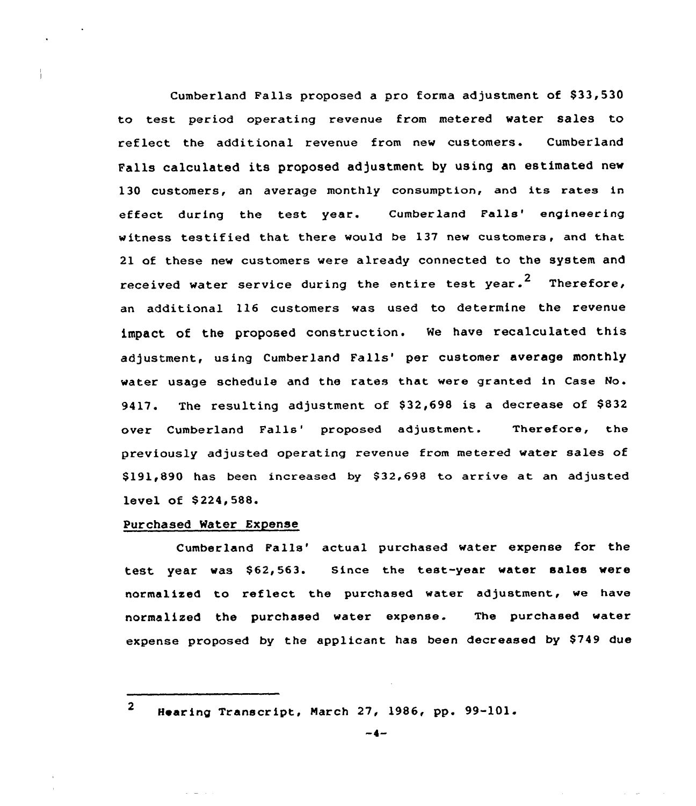Cumberland Falls proposed a pro forma adjustment of \$33,530 to test period operating revenue from metered water sales to reflect the additional revenue from new customers. Cumberland Falls calculated its proposed adjustment by using an estimated new 130 customers, an average monthly consumption, and its rates in effect during the test year. Cumberland Falls' engineering witness testified that there would be 137 new customers, and that 21 of these new customers were already connected to the system and received water service during the entire test year.<sup>2</sup> Therefore, an additional 116 customers was used to determine the revenue impact of the proposed construction. Ne have recalculated this adjustment, using Cumberland Falls' per customer average monthly water usage schedule and the rates that were granted in Case Mo. 9417. The resulting adjustment of \$32,698 is a decrease of \$832 over Cumberland Falls' proposed adjustment. Therefore, the previously adjusted operating revenue from metered water sales of \$191,890 has been increased by \$32,698 to arrive at an adjusted level of \$224,588.

# Purchased Water Expense

Cumberland Falls' actual purchased water expense for the test year was \$62,563. Since the test-year water sales were normalized to reflect the purchased water adjustment, we have normalized the purchased water expense. The purchased water expense proposed by the applicant has been decreased by \$749 due

<sup>2</sup> Hearing Transcript, March 27, 1986, pp. 99-101.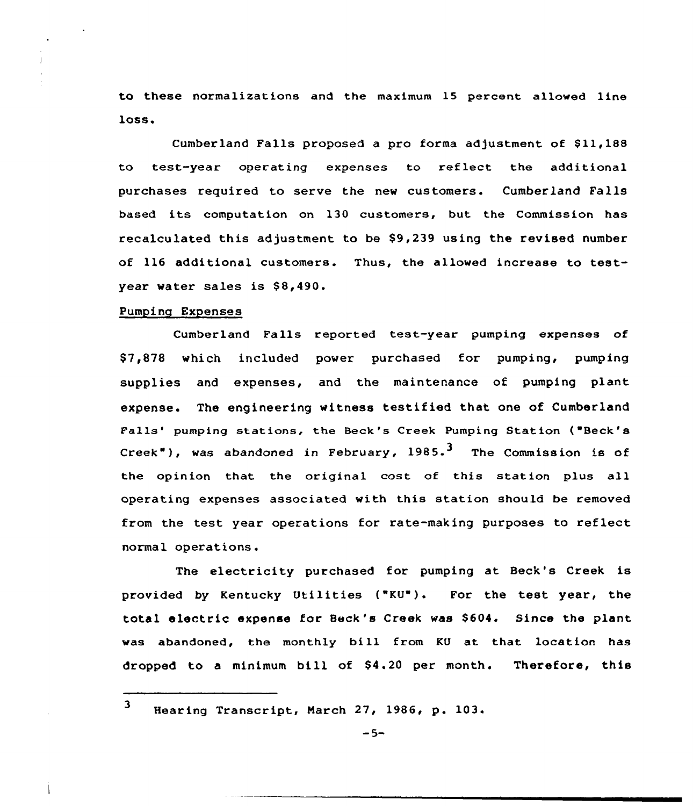to these normalizations and the maximum 15 percent allowed line loss.

Cumberland Falls proposed a pro forma adjustment of \$11,188 to test-year operating expenses to reflect the additional purchases required to serve the new customers. Cumberland Falls based its computation on 130 customers, but the Commission has recalculated this adjustment to be \$9,239 using the revised number of 116 additional customers. Thus, the allowed increase to testyear water sales is \$8,490.

#### Pumping Expenses

Cumberland Falls reported test-year pumping expenses of \$ 7,878 which included power purchased fox pumping, pumping supplies and expenses, and the maintenance of pumping plant expense. The engineering witness testified that one of Cumberland Falls' pumping stations, the Beck's Creek Pumping Station ("Beck's Creek"), was abandoned in February,  $1985 \cdot 3$  The Commission is of the opinion that the original cost of this station plus all operating expenses associated with this station should be removed from the test year operations for rate-making purposes to reflect normal operations.

The electricity purchased for pumping at Beck's Creek is provided by Kentucky Utilities ("KU") <sup>~</sup> For the test year, the total electric expense for Beck's Creek was \$604. Since the plant was abandoned, the monthly bill from KU at that location has dropped to <sup>a</sup> minimum bill of 84.20 per month. Therefore, this

 $3$  Hearing Transcript, March 27, 1986, p. 103.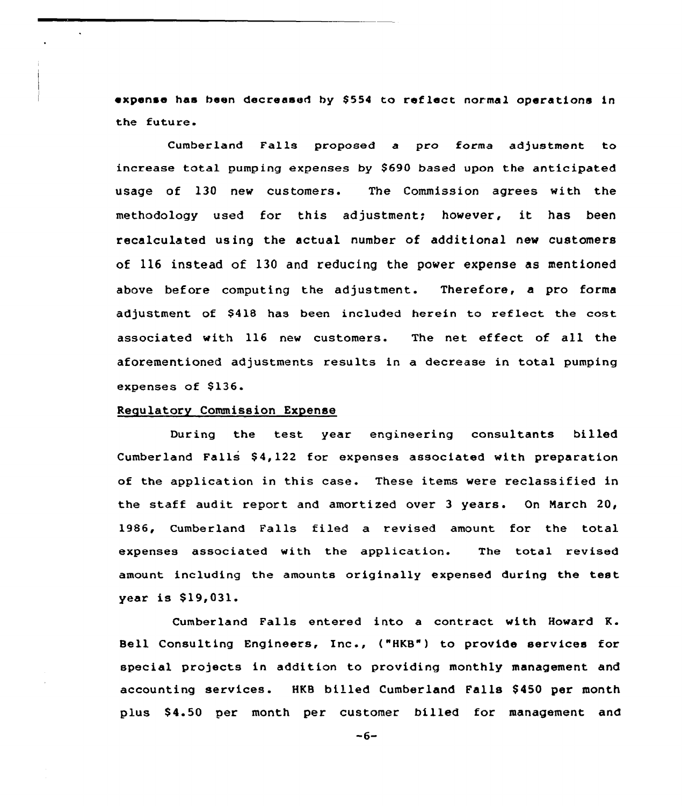expense has been decreased by \$554 to reflect normal operations in the future.

Cumberland Falls proposed a pro forma adjustment to increase total pumping expenses by \$690 based upon the anticipated usage of 130 new customers. The Commission agrees with the methodology used for this adjustment; however, it has been recalculated using the actual number of additional new customers of 116 instead of 130 and reducing the power expense as mentioned above before computing the adjustment. Therefore, a pro forma adjustment of \$418 has been included herein to reflect the cost associated with 116 new customers. The net effect of all the aforementioned adjustments results in a decrease in total pumping expenses of \$136.

### Regulatory Commission Expense

During the test year engineering consultants billed Cumberland Falls \$ 4,122 for expenses associated with preparation of the application in this case. These items were reclassified in the staff audit report and amortized over <sup>3</sup> years. On Narch 20, 1986, Cumberland Falls filed a revised amount for the total expenses associated with the application. The total revised amount including the amounts originally expensed during the test year is \$19,031.

Cumberland Falls entered into a contract with Howard R. Bell Consulting Engineers, Inc., {"HKB") to provide services for special projects in addition to providing monthly management and accounting services. HKB billed Cumberland Falls \$ 450 per month plus \$ 4.50 per month per customer billed for management and

 $-6-$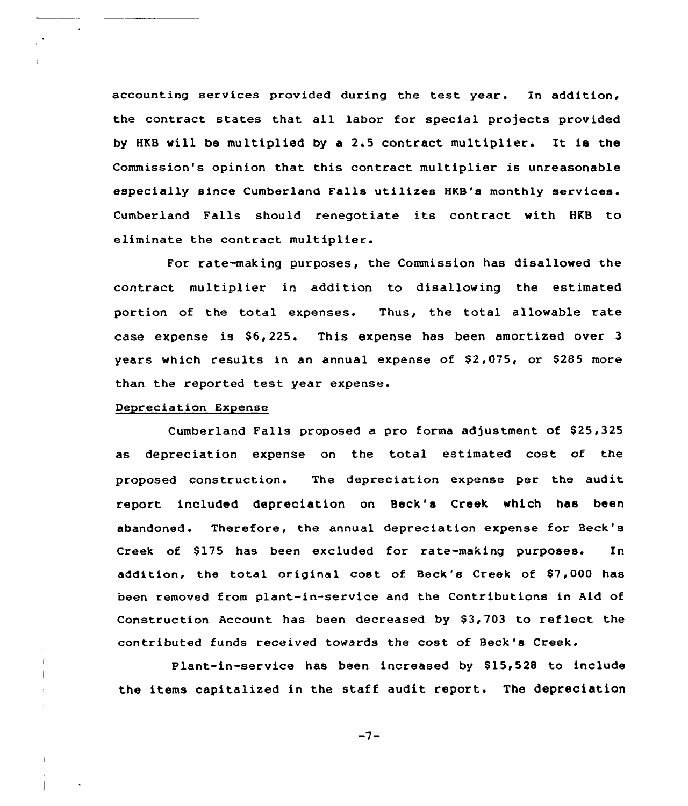accounting services provided during the test year. In addition, the contract states that all labor for special projects provided by HKB will be multiplied by a 2.5 contract multiplier. It is the Commission's opinion that this contract multiplier is unreasonable especially since Cumberland Falls utilizes HKB's monthly services. Cumberland Falls should renegotiate its contract with HKB to eliminate the contract multiplier.

For rate-making purposes, the Commission has disallowed the contract multiplier in addition to disallowing the estimated portion of the total expenses. Thus, the total allowable rate case expense is S6,225. This expense has been amortized over 3 years which results in an annual expense of \$2,075, or \$285 more than the reported test year expense.

# Depreciation Expense

Cumberland Falls proposed a pro forma adjustment of \$25,325 as depreciation expense on the total estimated cost of the proposed construction. The depreciation expense per the audit report included depreciation on Beck's Creek which has been abandoned. Therefore, the annual depreciation expense for Beck' Creek of \$175 has been excluded for rate-making purposes. In addition, the total original cost of Beck's Creek of \$7,000 has been removed from plant-in-service and the Contributions in Aid of Construction Account has been decreased by \$3,703 to reflect the contributed funds received towards the cost of Beck's Creek.

Plant-in-service has been increased by \$15,528 to include the items capitalized in the staff audit report. The depreciation

 $-7-$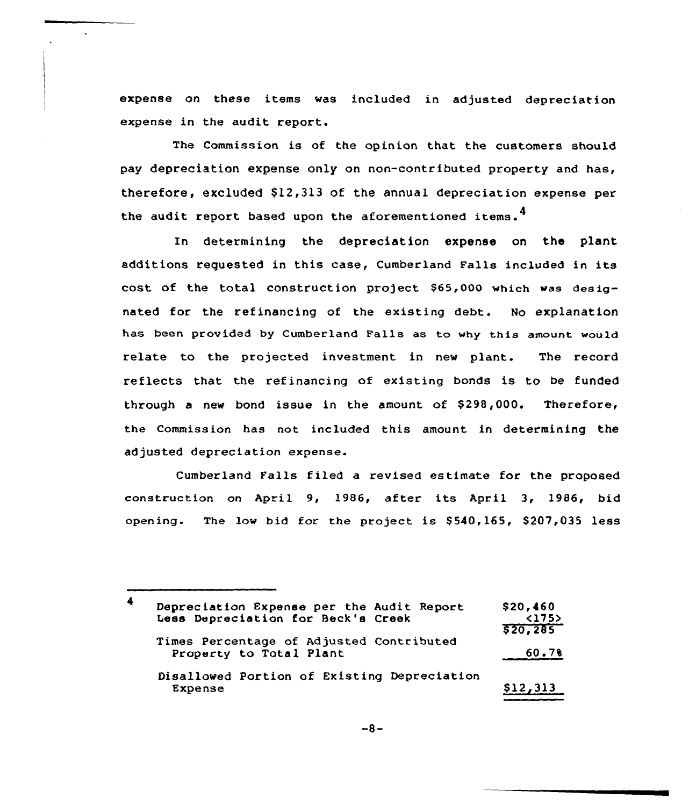expense on these items was included in adjusted depreciation expense in the audit report.

The Commission is of the opinion that the customers should pay depreciation expense only on non-contributed property and has, therefore, excluded  $$12,313$  of the annual depreciation expense per the audit report based upon the aforementioned items.<sup>4</sup>

In determining the depreciation expense on the plant additions requested in this case, Cumberland Fa11s included in its cost of the total construction project \$65,000 which was designated for the refinancing of the existing debt. No explanation has been provided by Cumberland Falls as to why this amount would relate to the projected investment in new plant. The record reflects that the refinancing of existing bonds is to be funded through a new bond issue in the amount of \$298,000. Therefore, the Commission has not included this amount in determining the adjusted depreciation expense.

Cumberland Falls filed a revised estimate for the proposed construction on April 9, 1986, after its April 3, 1986, bid opening. The low bid for the project is \$540,165, \$207,035 less

Depreciation Expense per the Audit Report Less Depreciation for Beck's Creek Times Percentage of Adjusted Contributed Property to Total Plant \$ 20,460 <175> \$ 20,2e5 60.7% Disallowed Portion of Existing Depreciation Expense  $\frac{12,313}{812,313}$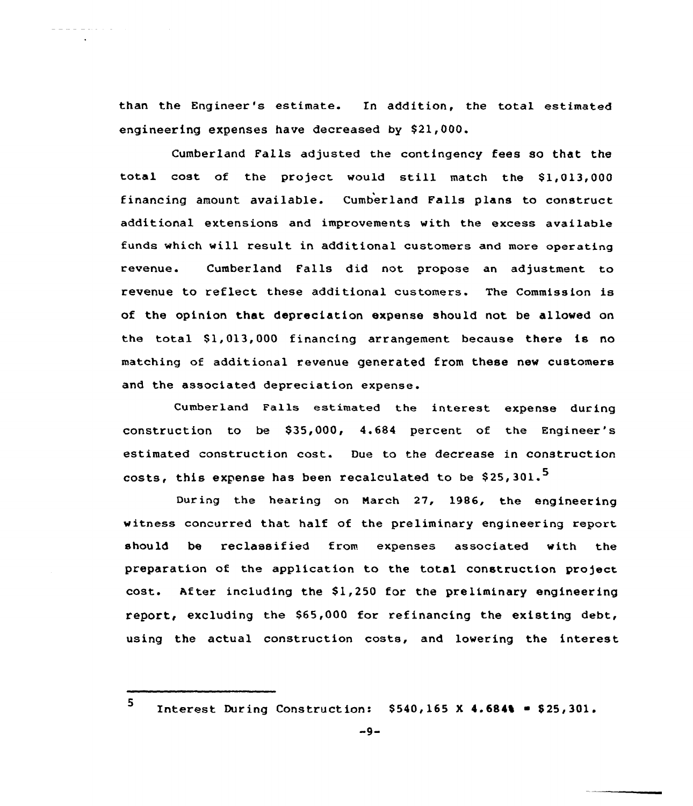than the Engineer 's estimate. In addition, the total estimated engineering expenses have decreased by S21,000.

Cumberland Falls adjusted the contingency fees so that the total cost af the project would still match the S1,013,000 financing amount available. Cumberland Falls plans to construct additional extensions and improvements with the excess available funds which will result in additional customers and more operating revenue. Cumberland Falls did not propose an adjustment to revenue to reflect these additional customers. The Commission is of the opinion that depreciation expense should not be allowed on the total S1,013,000 financing arrangement because there is no matching of additional revenue generated from these new customers and the associated depreciation expense.

Cumberland Falls estimated the interest expense during construction to be \$35,000, 4.684 percent of the Engineer's estimated canstruction cost. Due to the decrease in construction costs, this expense has been recalculated to be \$25,301.<sup>5</sup>

During the hearing on March 27, 1986, the engineering witness concurred that half of the preliminary engineering report should be reclassified from expenses associated with the preparation of the application to the total construction project cost. After including the \$1,250 for the preliminary engineering report, excluding the S65,000 for refinancing the existing debt, using the actual construction costs, and lowering the interest

5

. . . . . . . . . . . .

Interest During Construction:  $$540,165$  X 4.684% = \$25,301.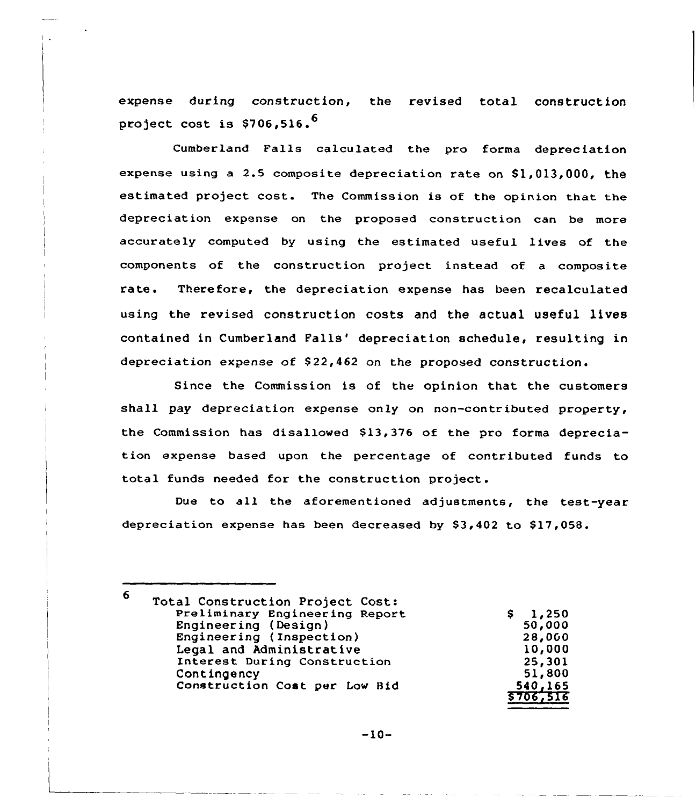expense during construction, the revised total construction project cost is  $$706.516.^{6}$ 

Cumberland Falls calculated the pro forma depreciation expense using a 2.5 composite depreciation rate on  $$1,013,000$ , the estimated project cost. The Commiss ion is of the opinion that the depreciation expense on the proposed construction can be more accurately computed by using the estimated useful lives of the components of the construction project instead of a composite rate. Therefore, the depreciation expense has been recalculated using the revised construction costs and the actual useful lives contained in Cumberland Falls' depreciation schedule, resulting in depreciation expense of  $$22,462$  on the proposed construction.

Since the Commission is of the opinion that the customers shall pay depreciation expense only on non-contributed property, the Commission has disallowed \$13,376 of the pro forma depreciation expense based upon the percentage of contributed funds to total funds needed for the construction project.

Due to all the aforementioned adjustments, the test-year depreciation expense has been decreased by  $$3,402$  to  $$17,058$ .

<sup>6</sup> Total Construction Project Cost: Preliminary Engineering Report  $1,250$ <br>50,000 S. Engineering (Design) Engineering (Inspection)<br>Legal and Administrative 28,0GO 10,000 Interest During Construction 25,301 51, 800 Contingency Construction Coat per Low Bid 540,165 \$ 706~516

$$
-10-
$$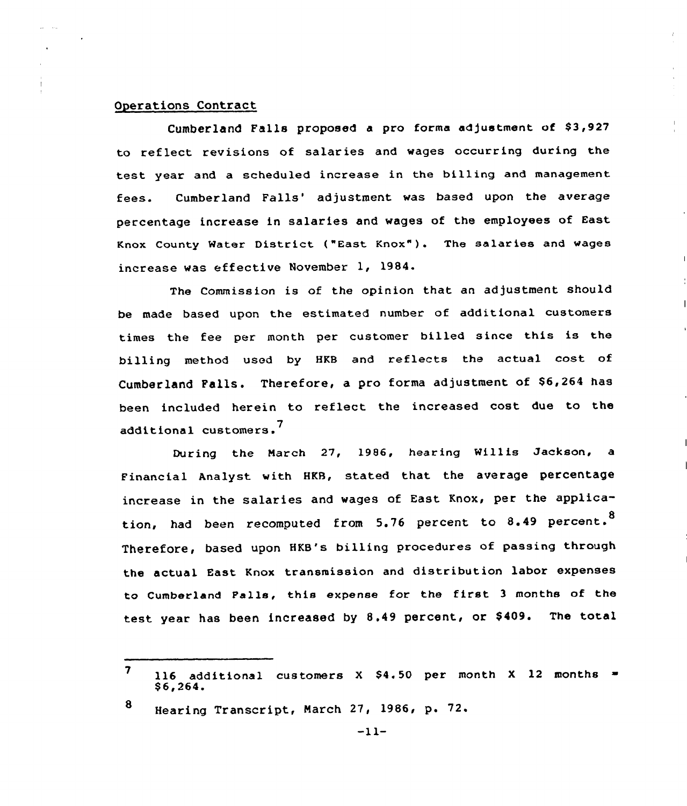# Operations Contract

Cumberland Falls proposed a pro forma adjustment of \$3,927 to reflect revisions of salaries and wages occurring during the test year and a scheduled increase in the billing and management fees. Cumberland Falls' adjustment was based upon the average percentage increase in salaries and wages of the employees of East Knox County Water District ("East Knox" ). The salaries and wages increase was effective November 1, 1984.

The Commission is of the opinion that an adjustment should be made based upon the estimated number of additional customers times the fee per month per customer billed since this is the billing method used by HKB and reflects the actual cost of Cumberland Falls. Therefore, a pro forma adjustment of \$6,264 has been included herein to reflect the increased cost due to the additional customers. <sup>7</sup>

During the Narch 27, 1986, hearing Willis Jackson, a Financial Analyst with HKB, stated that the average percentage increase in the salaries and wages of East Knox, per the application, had been recomputed from 5.76 percent to 8.49 percent.<sup>8</sup> Therefore, based upon HKB's billing procedures of passing through the actual East Knox transmission and distribution labor expenses to Cumberland Falls, this expense for the first <sup>3</sup> months of the test year has been increased by 8.49 percent, or \$409. The total

<sup>8</sup> Hearing Transcript, Narch 27, 1986, p. 72.

<sup>7</sup> ll6 additional customers X \$4.50 per month X <mark>12 month</mark><br>\$6,264.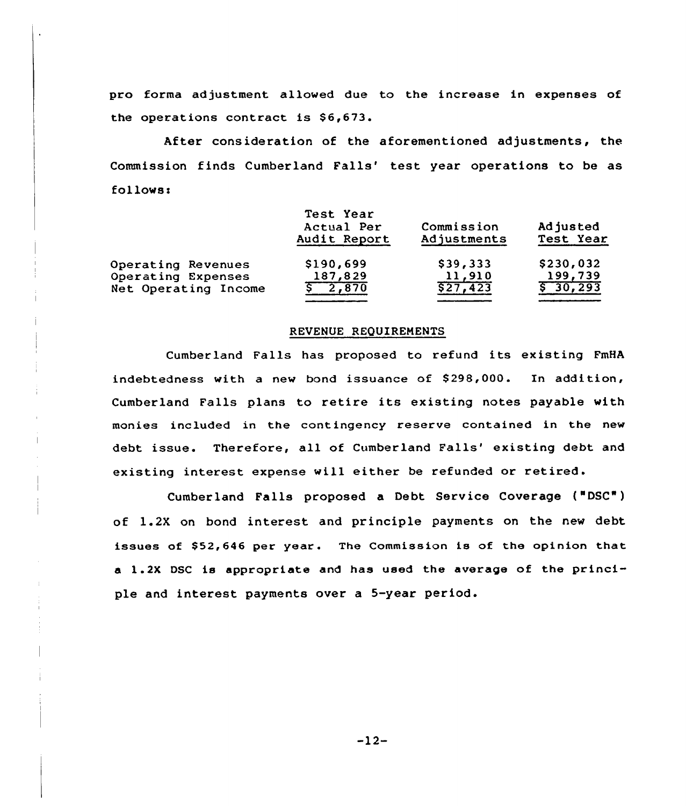pro forma adjustment, allowed due to the increase in expenses of the operations contract is \$6,673.

After consideration of the aforementioned adjustments, the Commission finds Cumberland Falls' test year operations to be as follows:

|                      | Test Year<br>Actual Per<br>Audit Report | Commission<br>Adjustments | Adjusted<br>Test Year  |
|----------------------|-----------------------------------------|---------------------------|------------------------|
| Operating Revenues   | \$190,699                               | \$39,333                  | \$230,032              |
| Operating Expenses   | 187,829                                 | 11,910                    | 199,739                |
| Net Operating Income | \$2,870                                 | \$27,423                  | $\overline{5}$ 30, 293 |
|                      |                                         |                           |                        |

#### REVENUE REQUIREMENTS

Cumberland Falls has proposed to refund its existing FmHA indebtedness with a new bond issuance of 8298,000. In addition, Cumberland Falls plans to retire its existing notes payable with monies included in the contingency reserve contained in the new debt issue. Therefore, all of Cumberland Falls' existing debt and existing interest expense will either be refunded or retired.

Cumberland Falls proposed a Debt Service Coverage ("DSC") of 1.2X on bond interest and principle payments on the new debt issues of \$52,646 per year. The Commission is of the opinion that a 1.2X DSC is appropriate and has used the average of the principle and interest payments over a 5-year period.

-12-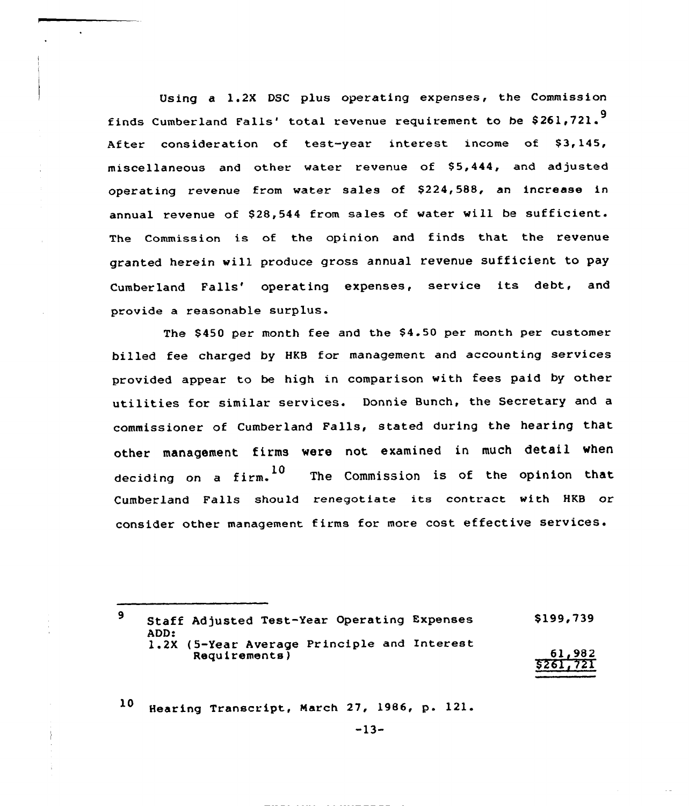Using a 1.2X DSC plus operating expenses, the Commission finds Cumberland Falls' total revenue requirement to be \$261,721.<sup>9</sup> After consideration of test-year interest income of \$3,145, miscellaneous and other water revenue of \$5,444, and adjusted operating revenue from water sales of \$224,588, an increase in annual revenue of \$28,544 from sales of water will be sufficient. The Commission is of the opinion and finds that the revenue granted herein will produce gross annual revenue sufficient to pay Cumberland Falls' operating expenses, service its debt, and provide a reasonable surplus.

The \$450 per month fee and the \$4.50 per month per customer billed fee charged by HKB for management and accounting services provided appear to be high in comparison with fees paid by other utilities for similar services. Donnie Bunch, the Secretary and a commissioner of Cumberland Falls, stated during the hearing that other management firms were not examined in much detail when deciding on a firm.<sup>10</sup> The Commission is of the opinion that Cumberland Falls should renegotiate its contract with HKB or consider other management firms for more cost effective services.

<sup>9</sup> Staff Adjusted Test-Year Operating Expenses ADD: 1.2X (5-Year Average Principle and Interest Requirements ) \$199,739 61, 982 \$ 261,721

10 Hearing Transcript, March 27, 1986, p. 121.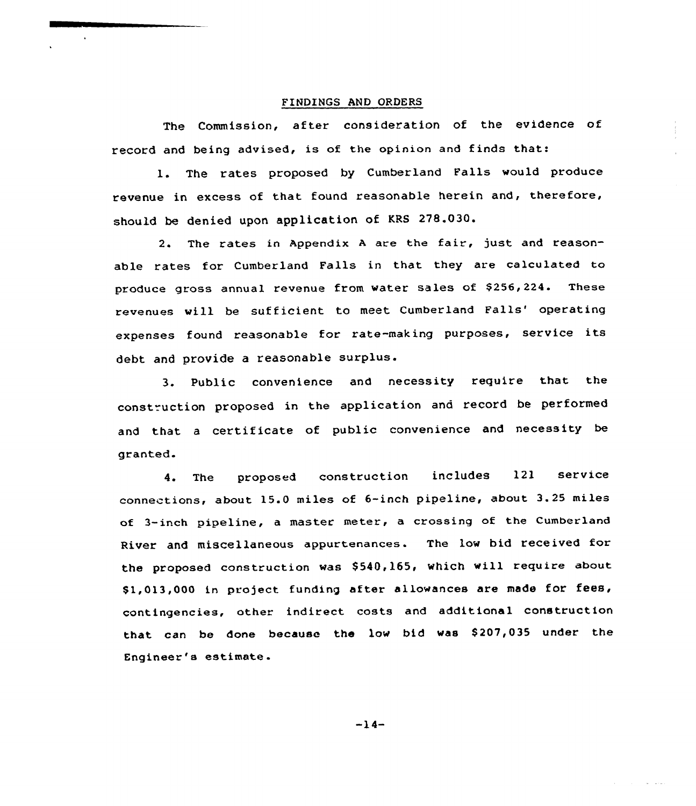#### FINDINGS AND ORDERS

The Commission, after consideration of the evidence of record and being advised, is of the opinion and finds that:

1. The rates proposed by Cumberland Falls would produce revenue in excess of that found reasonable herein and, therefore, should be denied upon application of KRS 27&.030.

2. The rates in Appendix <sup>A</sup> are the fair, just and reasonable rates for Cumberland Falls in that they are calculated to produce gross annual revenue from water sales of \$256,224. These revenues will be sufficient to meet Cumberland Falls' operating expenses found reasonable for rate-making purposes, service its debt and provide a reasonable surplus.

3. Public convenience and necessity require that the construction proposed in the application and record be performed and that <sup>a</sup> certificate of public convenience and necessity be granted.

4. The proposed construction includes 121 service connections, about 15.0 miles of 6-inch pipeline, about 3.25 miles of 3-inch pipeline, <sup>a</sup> master meter, a crossing of the Cumberland River and miscellaneous appurtenances. The low bid received for the proposed construction was \$540,165, which will require about \$1,013,000 in project funding after allowances are made for fees, contingencies, other indirect costs and additional construction that can be done because the low bid was \$207,035 under the Engineer's estimate.

 $-14-$ 

**Contractor**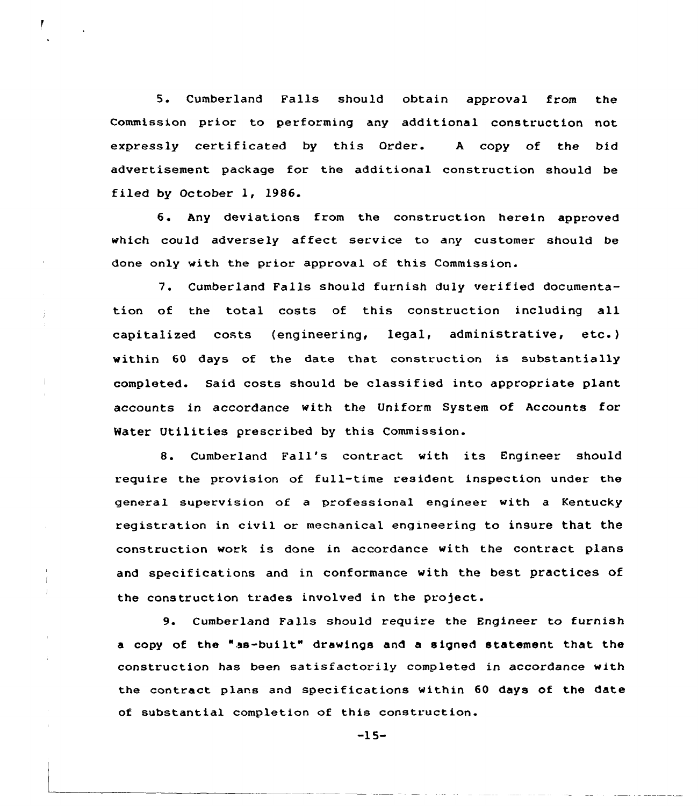5. Cumberland Falls should obtain approval from the Commission prior to performing any additional construction not expressly certificated by this Order. <sup>A</sup> copy of the bid advertisement package for the additional construction should be filed by October 1, 1986.

6. Any deviations from the construction herein approved which could adversely affect service to any customer should be done only with the prior approval of this Commission.

7. Cumberland Falls should furnish duly verified documentation of the total costs of this construction including all capitalized costs (engineering, legal, administrative, etc.) within 60 days of the date that construction is substantially completed. Said costs should be classified into appropriate plant accounts in accordance with the Uniform System of Accounts for Water Utilities prescribed by this Commission.

8. Cumberland Fall's contract with its Engineer should require the provision of full-time resident inspection under the general supervision of a professional engineer with a Kentucky registration in civil or mechanical engineering to insure that the construction work is done in accordance with the contract plans and specifications and in conformance with the best practices of the construction trades involved in the project.

9. Cumberland Falls should require the Engineer to furnish <sup>a</sup> copy of the "as-built" drawings and <sup>a</sup> signed statement that the construction has been satisfactorily completed in accordance with the contract plans and specifications within 60 days of the date of substantial completion of this construction.

-15-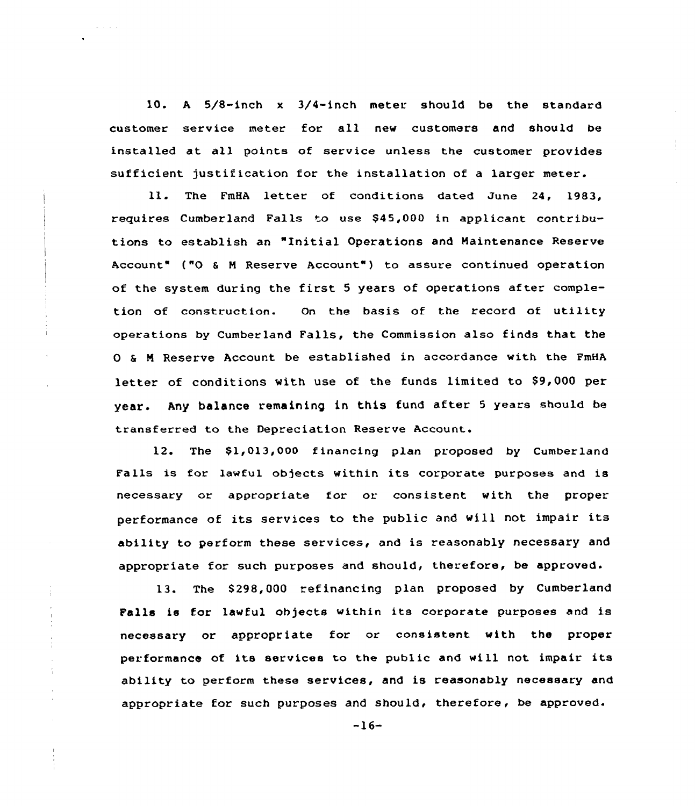10. <sup>A</sup> 5/8-inch <sup>x</sup> 3/4-inch meter should be the standard customer service meter for all new customers and should be installed at all points of service unless the customer provides sufficient justification for the installation of a larger meter.

11. The FmHA letter of conditions dated June 24, 1983, requires Cumberland Falls to use \$45,000 in applicant contributions to establish an "Initial Operations and Haintenance Reserve Account" {"0 <sup>6</sup> <sup>N</sup> Reserve Account" ) to assure continued operation of the system during the first 5 years of operations after completion of construction. On the basis of the record of utility operations by Cumberland Falls, the Commission also finds that the 0 8 <sup>N</sup> Reserve Account be established in accordance with the PmHA letter of conditions with use of the funds limited to \$9, 000 per year. Any balance remaining in this fund after 5 years should be transferred to the Depreciation Reserve Account.

12. The \$1,013,000 financing plan proposed by Cumberland Falls is for lawful objects within its corporate purposes and is necessary or appropriate for or consistent with the proper performance of its services to the public and will not impair its ability to perform these services, and is reasonably necessary and appropriate for such purposes and should, therefore, be approved.

13. The \$298,000 refinancing plan proposed by Cumberland Falls is for lawful objects within its corporate purposes and is necessary or appropriate for or consistent with the proper performance of its services to the public and will not impair its ability to perform these services, and is reasonably necessary and appropriate for such purposes and should, therefore, be approved.

 $\frac{1}{4}$ 

 $\frac{1}{\epsilon}$  $\frac{1}{4}$ 

÷

 $-16-$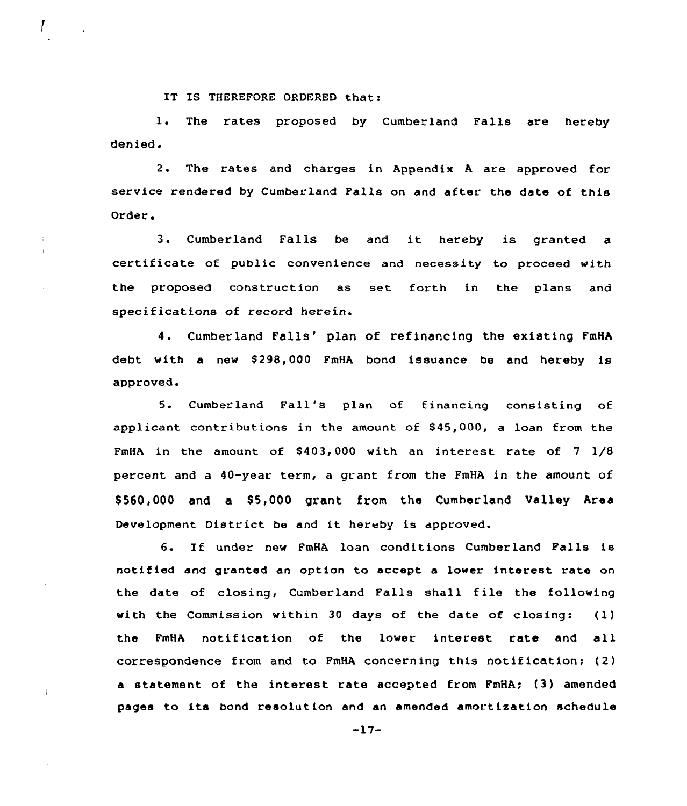IT IS THEREFORE ORDERED that:

l. The rates proposed by Cumberland Falls are hereby denied.

2. The rates and charges in Appendix <sup>A</sup> are approved for service rendered by Cumberland Falls on and after the date of this Order.

3. Cumberland Falls be and it hereby is granted <sup>a</sup> certificate of public convenience and necessity to proceed with the proposed construction as set forth in the plans and specifications of record herein.

4. Cumberland Falls' plan of refinancing the existing FmHA debt with a new S298,000 FmHA bond issuance be and hereby is approved.

5. Cumberland Fall's plan of financing consisting of applicant contributions in the amount of 845,000, a loan from the FmHA in the amount of  $$403,000$  with an interest rate of  $7\frac{1}{8}$ percent and a 40-year term, a grant from the FmHA in the amount of S560,000 and a S5,000 grant from the Cumberland Valley Area Development District be and it hereby is approved.

6. If under new PmHA loan conditions Cumberland Falls is notified and granted an option to accept a lower interest rate on the date of closing, Cumberland Falls shall file the following with the Commission within 30 days of the date of closing: (1) the FmHA notification of the lower interest rate and all correspondence from and to  $FmHA$  concerning this notification; (2) <sup>a</sup> statement of the interest rate accepted from PmHA; {3) amended pages to its bond resolution and an amended amortisation schedule

-17-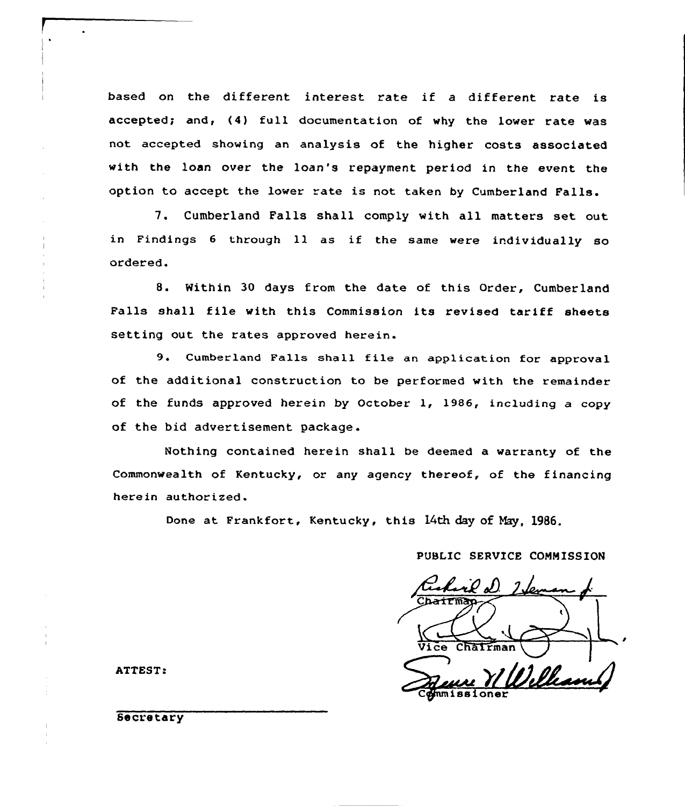based on the different interest rate if <sup>a</sup> different rate is accepted; and, (4) full documentation of why the lower rate was not accepted showing an analysis of the higher costs associated with the loan over the loan's repayment period in the event the option to accept the lower rate is not taken by Cumberland Falls.

7. Cumberland Falls shall comply with all matters set out in Findings <sup>6</sup> through ll as if the same were individually so ordered.

8. Within 30 days from the date of this Order, Cumberland Falls shall file with this Commission its revised tariff sheets setting out the rates approved herein.

9. Cumberland Falls shall file an application for approval of the additional construction to be performed with the remainder of the funds approved herein by October 1, 1986, including a copy of the bid advertisement package.

Nothing contained herein shall be deemed a warranty of the Commonwealth of Kentucky, or any agency thereof, of the financing herein authorized.

Done at Frankfort, Kentucky, this 14th day of May, 1986.

PUBLIC SERVICE COMMISSION

Chairma Vice Chairman  $m$ issioner

ATTEST:

Secretary